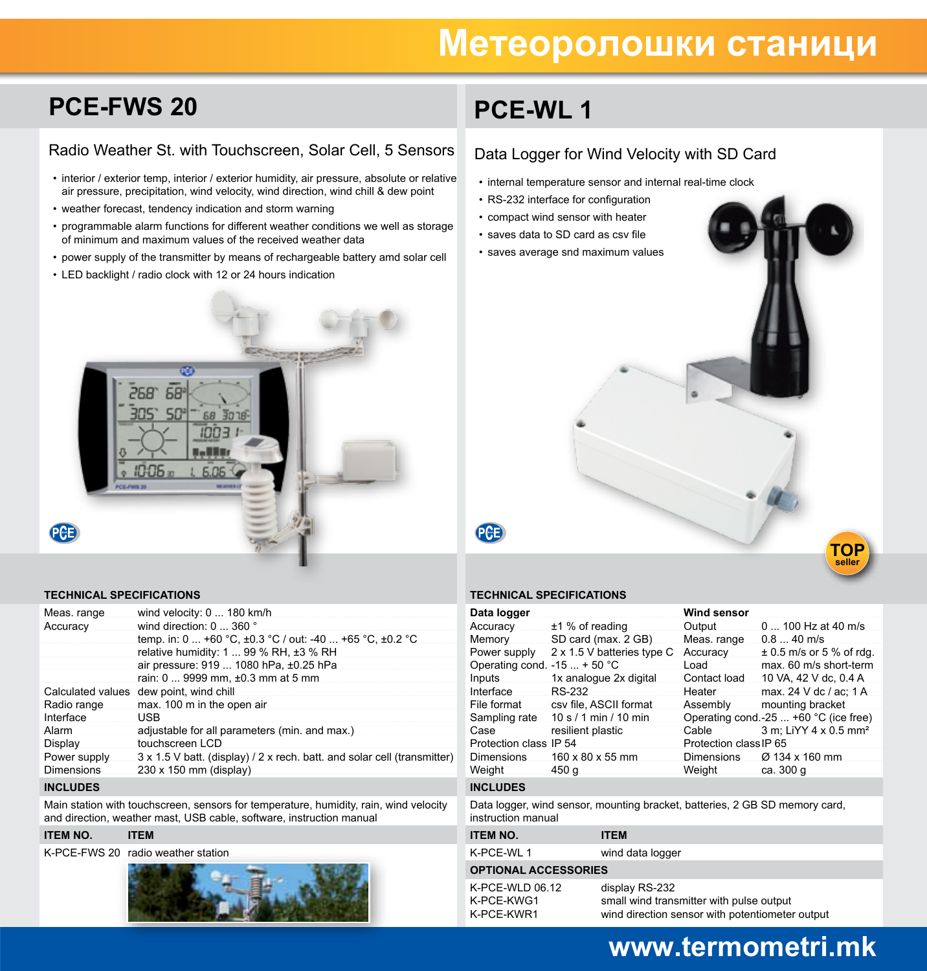# **Метеоролошки станици**

## **PCE-FWS 20**

### Radio Weather St. with Touchscreen, Solar Cell, 5 Sensors

- interior / exterior temp, interior / exterior humidity, air pressure, absolute or relative air pressure, precipitation, wind velocity, wind direction, wind chill & dew point
- weather forecast, tendency indication and storm warning
- programmable alarm functions for different weather conditions we well as storage of minimum and maximum values of the received weather data
- • power supply of the transmitter by means of rechargeable battery amd solar cell
- LED backlight / radio clock with 12 or 24 hours indication

# PD 68 268 68 30 18 בממו

#### **TECHNICAL SPECIFICATIONS**

| Meas. range                       | wind velocity: 0  180 km/h                                                                         |
|-----------------------------------|----------------------------------------------------------------------------------------------------|
| Accuracy                          | wind direction: 0  360 °                                                                           |
|                                   | temp. in: 0  +60 °C, ±0.3 °C / out: -40  +65 °C, ±0.2 °C                                           |
|                                   | relative humidity: $1 \dots 99$ % RH, $\pm 3$ % RH                                                 |
|                                   | air pressure: 919  1080 hPa, ±0.25 hPa                                                             |
|                                   | rain: 0  9999 mm, ±0.3 mm at 5 mm                                                                  |
|                                   | Calculated values dew point, wind chill                                                            |
| Radio range                       | max. 100 m in the open air                                                                         |
| Interface                         | USB                                                                                                |
| Alarm                             | adjustable for all parameters (min. and max.)                                                      |
| Display                           | touchscreen LCD                                                                                    |
| Power supply<br><b>Dimensions</b> | 3 x 1.5 V batt. (display) / 2 x rech. batt. and solar cell (transmitter)<br>230 x 150 mm (display) |
|                                   |                                                                                                    |

#### **INCLUDES**

PCB

Main station with touchscreen, sensors for temperature, humidity, rain, wind velocity and direction, weather mast, USB cable, software, instruction manual

#### **ITEM NO. ITEM**

K-PCE-FWS 20 radio weather station



# **PCE-WL 1**

### Data Logger for Wind Velocity with SD Card

- internal temperature sensor and internal real-time clock
- RS-232 interface for configuration
- compact wind sensor with heater
- saves data to SD card as csv file
- saves average snd maximum values



#### **TECHNICAL SPECIFICATIONS**

| Data logger                   |                                                                             | Wind sensor            |                                       |
|-------------------------------|-----------------------------------------------------------------------------|------------------------|---------------------------------------|
| Accuracy                      | $±1$ % of reading                                                           | Output                 | 0  100 Hz at 40 m/s                   |
| Memory                        | SD card (max. 2 GB)                                                         | Meas. range            | $0.840$ m/s                           |
| Power supply                  | 2 x 1.5 V batteries type C                                                  | Accuracy               | $\pm$ 0.5 m/s or 5 % of rdg.          |
| Operating cond. $-15$ + 50 °C |                                                                             | Load                   | max. 60 m/s short-term                |
| Inputs                        | 1x analogue 2x digital                                                      | Contact load           | 10 VA, 42 V dc, 0.4 A                 |
| Interface                     | <b>RS-232</b>                                                               | Heater                 | max. 24 V dc / ac: 1 A                |
| File format                   | csv file, ASCII format                                                      | Assembly               | mounting bracket                      |
|                               | Sampling rate 10 s / 1 min / 10 min                                         |                        | Operating cond.-25  +60 °C (ice free) |
| Case                          | resilient plastic                                                           | Cable                  | 3 m; LiYY 4 x 0.5 mm <sup>2</sup>     |
| Protection class IP 54        |                                                                             | Protection class IP 65 |                                       |
| Dimensions                    | 160 x 80 x 55 mm                                                            |                        | Dimensions $\varnothing$ 134 x 160 mm |
| Weight                        | 450 g                                                                       | Weight                 | ca. 300 g                             |
| <b>INCLUDES</b>               |                                                                             |                        |                                       |
| instruction manual            | Data logger, wind sensor, mounting bracket, batteries, 2 GB SD memory card, |                        |                                       |
| <b>ITEM NO.</b>               | <b>ITEM</b>                                                                 |                        |                                       |
| K-PCE-WL 1                    | wind data logger                                                            |                        |                                       |

#### **OPTIONAL ACCESSORIES**

| $K$ -PCE-WLD 06.12 | display R |
|--------------------|-----------|
| K-PCE-KWG1         | small wir |
| K-PCE-KWR1         | wind dire |

 $S-232$ od transmitter with pulse output ction sensor with potentiometer output

### **www.termometri.mk**

**TOP seller**